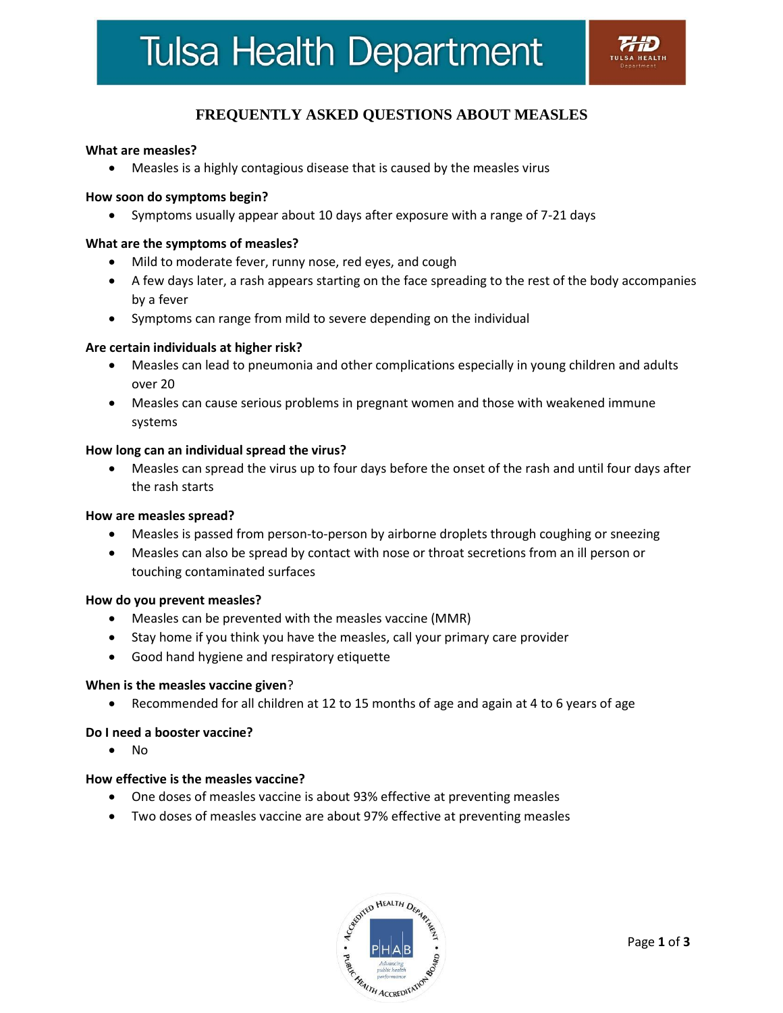# **Tulsa Health Department**

# **FREQUENTLY ASKED QUESTIONS ABOUT MEASLES**

#### **What are measles?**

Measles is a highly contagious disease that is caused by the measles virus

#### **How soon do symptoms begin?**

Symptoms usually appear about 10 days after exposure with a range of 7-21 days

#### **What are the symptoms of measles?**

- Mild to moderate fever, runny nose, red eyes, and cough
- A few days later, a rash appears starting on the face spreading to the rest of the body accompanies by a fever
- Symptoms can range from mild to severe depending on the individual

#### **Are certain individuals at higher risk?**

- Measles can lead to pneumonia and other complications especially in young children and adults over 20
- Measles can cause serious problems in pregnant women and those with weakened immune systems

#### **How long can an individual spread the virus?**

 Measles can spread the virus up to four days before the onset of the rash and until four days after the rash starts

#### **How are measles spread?**

- Measles is passed from person-to-person by airborne droplets through coughing or sneezing
- Measles can also be spread by contact with nose or throat secretions from an ill person or touching contaminated surfaces

#### **How do you prevent measles?**

- Measles can be prevented with the measles vaccine (MMR)
- Stay home if you think you have the measles, call your primary care provider
- Good hand hygiene and respiratory etiquette

#### **When is the measles vaccine given**?

Recommended for all children at 12 to 15 months of age and again at 4 to 6 years of age

#### **Do I need a booster vaccine?**

 $\bullet$  No

#### **How effective is the measles vaccine?**

- One doses of measles vaccine is about 93% effective at preventing measles
- Two doses of measles vaccine are about 97% effective at preventing measles

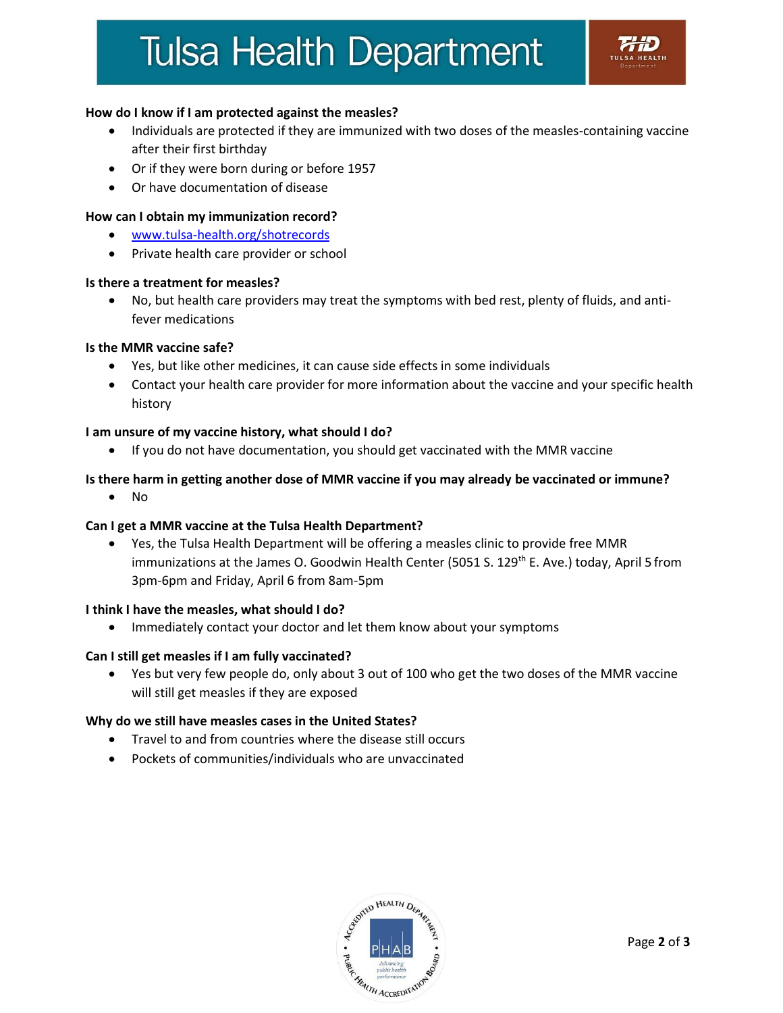# **Tulsa Health Department**

# **How do I know if I am protected against the measles?**

- Individuals are protected if they are immunized with two doses of the measles-containing vaccine after their first birthday
- Or if they were born during or before 1957
- Or have documentation of disease

## **How can I obtain my immunization record?**

- [www.tulsa-health.org/shotrecords](http://www.tulsa-health.org/shotrecords)
- Private health care provider or school

## **Is there a treatment for measles?**

 No, but health care providers may treat the symptoms with bed rest, plenty of fluids, and antifever medications

## **Is the MMR vaccine safe?**

- Yes, but like other medicines, it can cause side effects in some individuals
- Contact your health care provider for more information about the vaccine and your specific health history

## **I am unsure of my vaccine history, what should I do?**

If you do not have documentation, you should get vaccinated with the MMR vaccine

# **Is there harm in getting another dose of MMR vaccine if you may already be vaccinated or immune?**

 $\bullet$  No

## **Can I get a MMR vaccine at the Tulsa Health Department?**

 Yes, the Tulsa Health Department will be offering a measles clinic to provide free MMR immunizations at the James O. Goodwin Health Center (5051 S. 129<sup>th</sup> E. Ave.) today, April 5 from 3pm-6pm and Friday, April 6 from 8am-5pm

## **I think I have the measles, what should I do?**

Immediately contact your doctor and let them know about your symptoms

## **Can I still get measles if I am fully vaccinated?**

 Yes but very few people do, only about 3 out of 100 who get the two doses of the MMR vaccine will still get measles if they are exposed

## **Why do we still have measles cases in the United States?**

- Travel to and from countries where the disease still occurs
- Pockets of communities/individuals who are unvaccinated